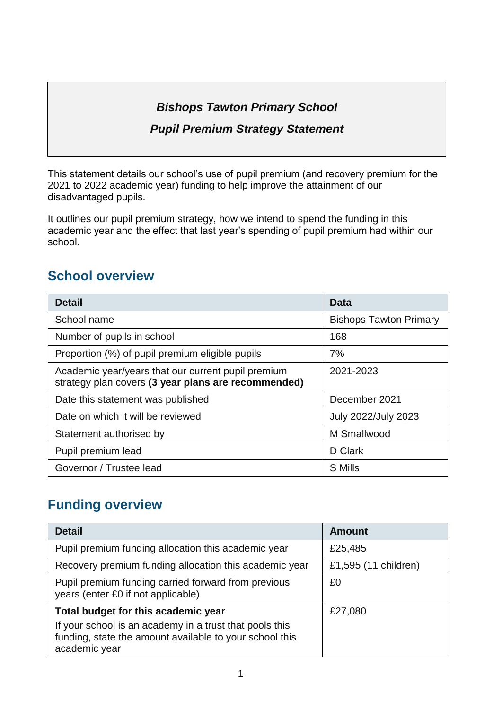# *Bishops Tawton Primary School*

### *Pupil Premium Strategy Statement*

This statement details our school's use of pupil premium (and recovery premium for the 2021 to 2022 academic year) funding to help improve the attainment of our disadvantaged pupils.

It outlines our pupil premium strategy, how we intend to spend the funding in this academic year and the effect that last year's spending of pupil premium had within our school.

## **School overview**

| <b>Detail</b>                                                                                             | <b>Data</b>                   |  |  |
|-----------------------------------------------------------------------------------------------------------|-------------------------------|--|--|
| School name                                                                                               | <b>Bishops Tawton Primary</b> |  |  |
| Number of pupils in school                                                                                | 168                           |  |  |
| Proportion (%) of pupil premium eligible pupils                                                           | 7%                            |  |  |
| Academic year/years that our current pupil premium<br>strategy plan covers (3 year plans are recommended) | 2021-2023                     |  |  |
| Date this statement was published                                                                         | December 2021                 |  |  |
| Date on which it will be reviewed                                                                         | July 2022/July 2023           |  |  |
| Statement authorised by                                                                                   | M Smallwood                   |  |  |
| Pupil premium lead                                                                                        | D Clark                       |  |  |
| Governor / Trustee lead                                                                                   | S Mills                       |  |  |

## **Funding overview**

| <b>Detail</b>                                                                                                                                                              | <b>Amount</b>        |  |
|----------------------------------------------------------------------------------------------------------------------------------------------------------------------------|----------------------|--|
| Pupil premium funding allocation this academic year                                                                                                                        | £25,485              |  |
| Recovery premium funding allocation this academic year                                                                                                                     | £1,595 (11 children) |  |
| Pupil premium funding carried forward from previous<br>years (enter £0 if not applicable)                                                                                  | £0                   |  |
| Total budget for this academic year<br>If your school is an academy in a trust that pools this<br>funding, state the amount available to your school this<br>academic year | £27,080              |  |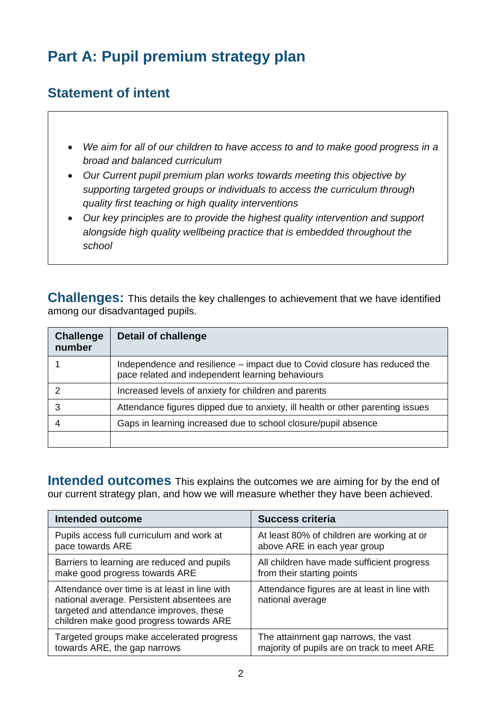# **Part A: Pupil premium strategy plan**

## **Statement of intent**

- *We aim for all of our children to have access to and to make good progress in a broad and balanced curriculum*
- *Our Current pupil premium plan works towards meeting this objective by supporting targeted groups or individuals to access the curriculum through quality first teaching or high quality interventions*
- *Our key principles are to provide the highest quality intervention and support alongside high quality wellbeing practice that is embedded throughout the school*

**Challenges:** This details the key challenges to achievement that we have identified among our disadvantaged pupils.

| <b>Challenge</b><br>number | <b>Detail of challenge</b>                                                                                                    |
|----------------------------|-------------------------------------------------------------------------------------------------------------------------------|
|                            | Independence and resilience – impact due to Covid closure has reduced the<br>pace related and independent learning behaviours |
|                            | Increased levels of anxiety for children and parents                                                                          |
|                            | Attendance figures dipped due to anxiety, ill health or other parenting issues                                                |
|                            | Gaps in learning increased due to school closure/pupil absence                                                                |
|                            |                                                                                                                               |

**Intended outcomes** This explains the outcomes we are aiming for by the end of our current strategy plan, and how we will measure whether they have been achieved.

| <b>Intended outcome</b>                                                                                                                                                           | <b>Success criteria</b>                                          |
|-----------------------------------------------------------------------------------------------------------------------------------------------------------------------------------|------------------------------------------------------------------|
| Pupils access full curriculum and work at                                                                                                                                         | At least 80% of children are working at or                       |
| pace towards ARE                                                                                                                                                                  | above ARE in each year group                                     |
| Barriers to learning are reduced and pupils                                                                                                                                       | All children have made sufficient progress                       |
| make good progress towards ARE                                                                                                                                                    | from their starting points                                       |
| Attendance over time is at least in line with<br>national average. Persistent absentees are<br>targeted and attendance improves, these<br>children make good progress towards ARE | Attendance figures are at least in line with<br>national average |
| Targeted groups make accelerated progress                                                                                                                                         | The attainment gap narrows, the vast                             |
| towards ARE, the gap narrows                                                                                                                                                      | majority of pupils are on track to meet ARE                      |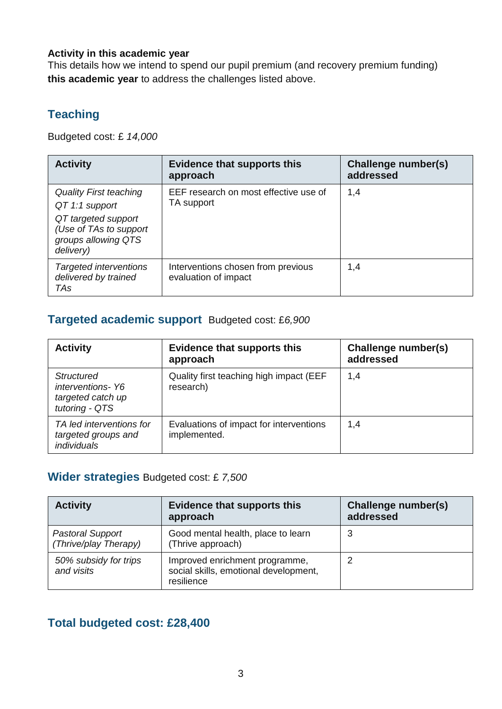#### **Activity in this academic year**

This details how we intend to spend our pupil premium (and recovery premium funding) **this academic year** to address the challenges listed above.

## **Teaching**

Budgeted cost: £ *14,000*

| <b>Activity</b>                                                                                                                      | <b>Evidence that supports this</b><br>approach             | Challenge number(s)<br>addressed |
|--------------------------------------------------------------------------------------------------------------------------------------|------------------------------------------------------------|----------------------------------|
| <b>Quality First teaching</b><br>QT 1:1 support<br>QT targeted support<br>(Use of TAs to support<br>groups allowing QTS<br>delivery) | EEF research on most effective use of<br>TA support        | 1,4                              |
| <b>Targeted interventions</b><br>delivered by trained<br>TAs                                                                         | Interventions chosen from previous<br>evaluation of impact | 1,4                              |

#### **Targeted academic support** Budgeted cost: £*6,900*

| <b>Activity</b>                                                              | <b>Evidence that supports this</b><br>approach          | Challenge number(s)<br>addressed |
|------------------------------------------------------------------------------|---------------------------------------------------------|----------------------------------|
| <b>Structured</b><br>interventions-Y6<br>targeted catch up<br>tutoring - QTS | Quality first teaching high impact (EEF<br>research)    | 1,4                              |
| TA led interventions for<br>targeted groups and<br><i>individuals</i>        | Evaluations of impact for interventions<br>implemented. | 1,4                              |

#### **Wider strategies** Budgeted cost: £ *7,500*

| <b>Activity</b>                                  | <b>Evidence that supports this</b><br>approach                                        | Challenge number(s)<br>addressed |
|--------------------------------------------------|---------------------------------------------------------------------------------------|----------------------------------|
| <b>Pastoral Support</b><br>(Thrive/play Therapy) | Good mental health, place to learn<br>(Thrive approach)                               | 3                                |
| 50% subsidy for trips<br>and visits              | Improved enrichment programme,<br>social skills, emotional development,<br>resilience |                                  |

### **Total budgeted cost: £28,400**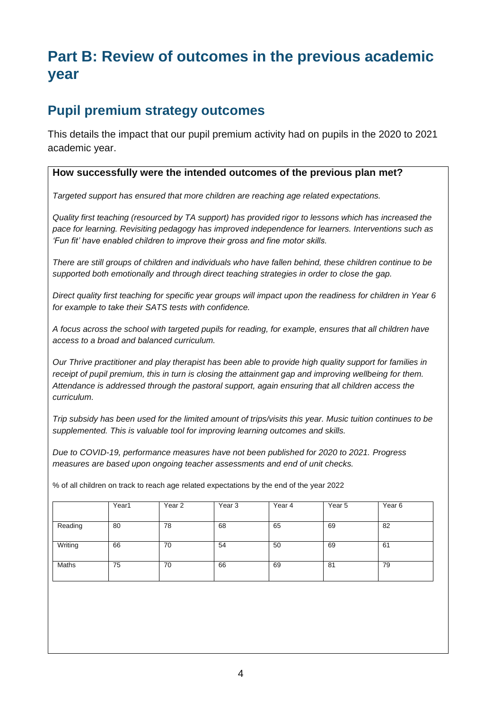## **Part B: Review of outcomes in the previous academic year**

## **Pupil premium strategy outcomes**

This details the impact that our pupil premium activity had on pupils in the 2020 to 2021 academic year.

#### **How successfully were the intended outcomes of the previous plan met?**

*Targeted support has ensured that more children are reaching age related expectations.* 

*Quality first teaching (resourced by TA support) has provided rigor to lessons which has increased the pace for learning. Revisiting pedagogy has improved independence for learners. Interventions such as 'Fun fit' have enabled children to improve their gross and fine motor skills.* 

*There are still groups of children and individuals who have fallen behind, these children continue to be supported both emotionally and through direct teaching strategies in order to close the gap.* 

*Direct quality first teaching for specific year groups will impact upon the readiness for children in Year 6 for example to take their SATS tests with confidence.* 

*A focus across the school with targeted pupils for reading, for example, ensures that all children have access to a broad and balanced curriculum.* 

*Our Thrive practitioner and play therapist has been able to provide high quality support for families in receipt of pupil premium, this in turn is closing the attainment gap and improving wellbeing for them. Attendance is addressed through the pastoral support, again ensuring that all children access the curriculum.* 

*Trip subsidy has been used for the limited amount of trips/visits this year. Music tuition continues to be supplemented. This is valuable tool for improving learning outcomes and skills.* 

*Due to COVID-19, performance measures have not been published for 2020 to 2021. Progress measures are based upon ongoing teacher assessments and end of unit checks.*

|         | Year1 | Year 2 | Year <sub>3</sub> | Year 4 | Year 5 | Year <sub>6</sub> |
|---------|-------|--------|-------------------|--------|--------|-------------------|
| Reading | 80    | 78     | 68                | 65     | 69     | 82                |
| Writing | 66    | 70     | 54                | 50     | 69     | 61                |
| Maths   | 75    | 70     | 66                | 69     | 81     | 79                |

% of all children on track to reach age related expectations by the end of the year 2022